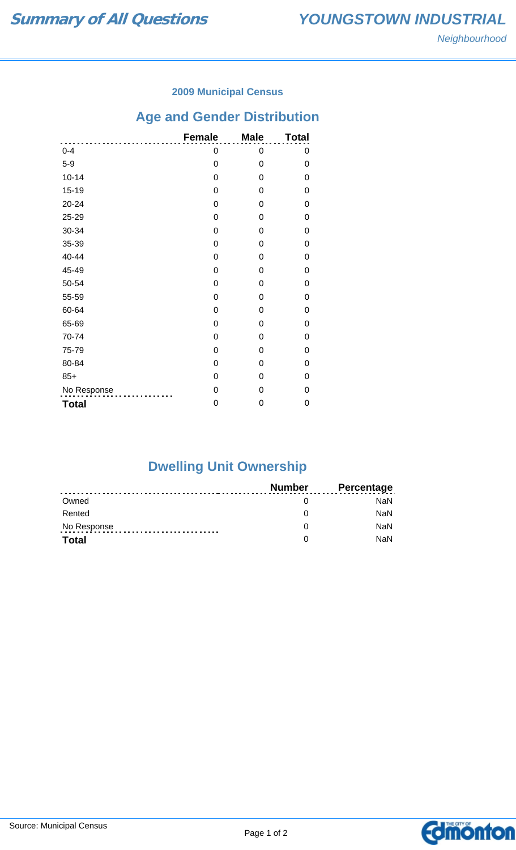### **2009 Municipal Census**

# **Age and Gender Distribution**

|              | <b>Female</b> | <b>Male</b> | <b>Total</b> |
|--------------|---------------|-------------|--------------|
| $0 - 4$      | 0             | 0           | 0            |
| $5-9$        | 0             | 0           | 0            |
| $10 - 14$    | 0             | 0           | 0            |
| $15 - 19$    | 0             | 0           | 0            |
| 20-24        | 0             | 0           | 0            |
| 25-29        | 0             | 0           | 0            |
| 30-34        | 0             | 0           | 0            |
| 35-39        | 0             | 0           | 0            |
| 40-44        | 0             | 0           | 0            |
| 45-49        | 0             | 0           | 0            |
| 50-54        | 0             | 0           | 0            |
| 55-59        | 0             | 0           | 0            |
| 60-64        | 0             | 0           | 0            |
| 65-69        | 0             | 0           | 0            |
| 70-74        | 0             | 0           | 0            |
| 75-79        | 0             | 0           | 0            |
| 80-84        | 0             | 0           | 0            |
| $85+$        | 0             | 0           | 0            |
| No Response  | 0             | 0           | 0            |
| <b>Total</b> | 0             | 0           | 0            |

# **Dwelling Unit Ownership**

|              | Number | <b>Percentage</b> |
|--------------|--------|-------------------|
| Owned        |        | NaN.              |
| Rented       |        | <b>NaN</b>        |
| No Response  |        | <b>NaN</b>        |
| <b>Total</b> |        | <b>NaN</b>        |